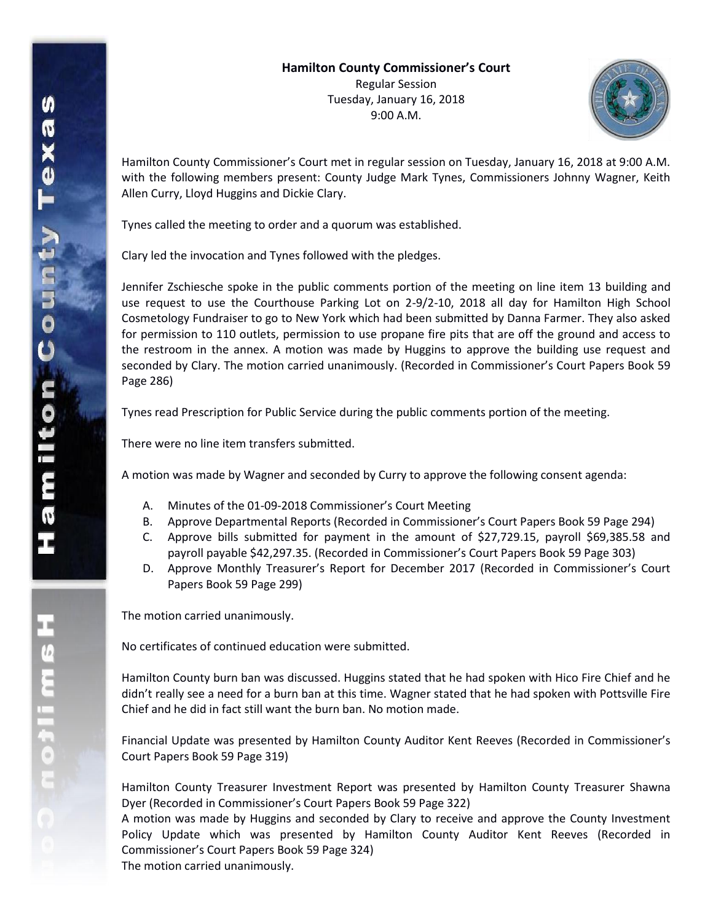

Hamilton County Commissioner's Court met in regular session on Tuesday, January 16, 2018 at 9:00 A.M. with the following members present: County Judge Mark Tynes, Commissioners Johnny Wagner, Keith Allen Curry, Lloyd Huggins and Dickie Clary.

Tynes called the meeting to order and a quorum was established.

Clary led the invocation and Tynes followed with the pledges.

Jennifer Zschiesche spoke in the public comments portion of the meeting on line item 13 building and use request to use the Courthouse Parking Lot on 2-9/2-10, 2018 all day for Hamilton High School Cosmetology Fundraiser to go to New York which had been submitted by Danna Farmer. They also asked for permission to 110 outlets, permission to use propane fire pits that are off the ground and access to the restroom in the annex. A motion was made by Huggins to approve the building use request and seconded by Clary. The motion carried unanimously. (Recorded in Commissioner's Court Papers Book 59 Page 286)

Tynes read Prescription for Public Service during the public comments portion of the meeting.

There were no line item transfers submitted.

A motion was made by Wagner and seconded by Curry to approve the following consent agenda:

- A. Minutes of the 01-09-2018 Commissioner's Court Meeting
- B. Approve Departmental Reports (Recorded in Commissioner's Court Papers Book 59 Page 294)
- C. Approve bills submitted for payment in the amount of \$27,729.15, payroll \$69,385.58 and payroll payable \$42,297.35. (Recorded in Commissioner's Court Papers Book 59 Page 303)
- D. Approve Monthly Treasurer's Report for December 2017 (Recorded in Commissioner's Court Papers Book 59 Page 299)

The motion carried unanimously.

No certificates of continued education were submitted.

Hamilton County burn ban was discussed. Huggins stated that he had spoken with Hico Fire Chief and he didn't really see a need for a burn ban at this time. Wagner stated that he had spoken with Pottsville Fire Chief and he did in fact still want the burn ban. No motion made.

Financial Update was presented by Hamilton County Auditor Kent Reeves (Recorded in Commissioner's Court Papers Book 59 Page 319)

Hamilton County Treasurer Investment Report was presented by Hamilton County Treasurer Shawna Dyer (Recorded in Commissioner's Court Papers Book 59 Page 322)

A motion was made by Huggins and seconded by Clary to receive and approve the County Investment Policy Update which was presented by Hamilton County Auditor Kent Reeves (Recorded in Commissioner's Court Papers Book 59 Page 324) The motion carried unanimously.